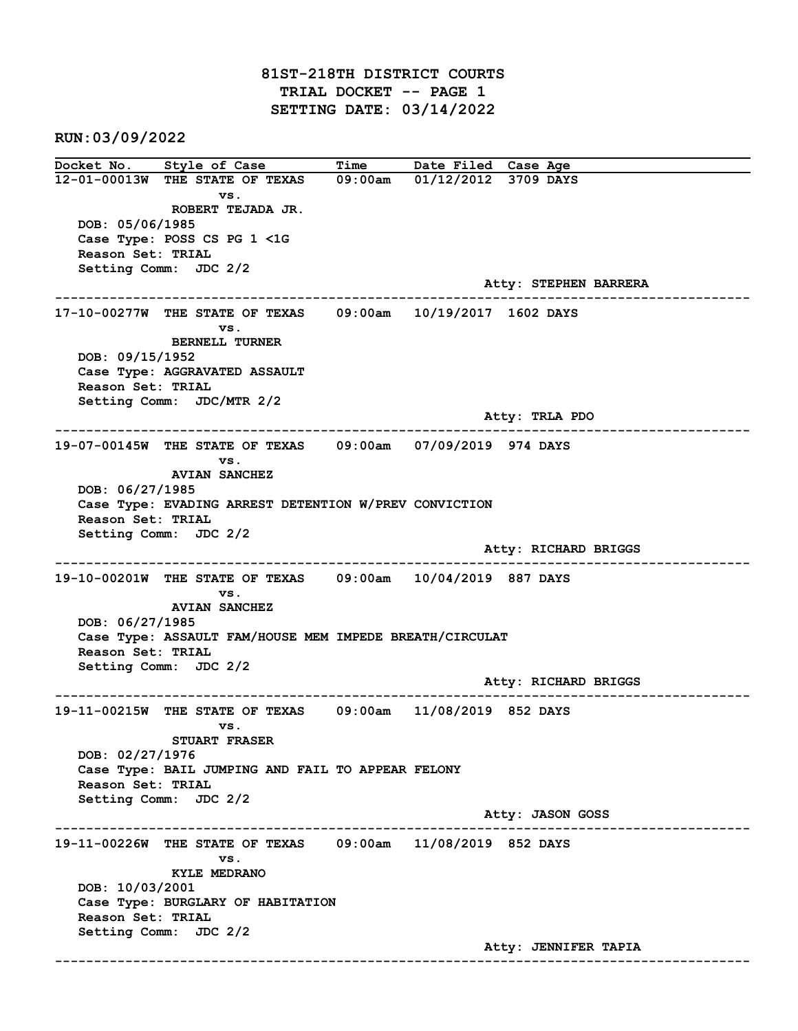81ST-218TH DISTRICT COURTS TRIAL DOCKET -- PAGE 1 SETTING DATE: 03/14/2022

RUN:03/09/2022

Docket No. Style of Case Time Date Filed Case Age 12-01-00013W THE STATE OF TEXAS 09:00am 01/12/2012 3709 DAYS vs. ROBERT TEJADA JR. DOB: 05/06/1985 Case Type: POSS CS PG 1 <1G Reason Set: TRIAL Setting Comm: JDC 2/2 Atty: STEPHEN BARRERA ------------------------------------------------------------------------------------------------------------------------ 17-10-00277W THE STATE OF TEXAS 09:00am 10/19/2017 1602 DAYS vs. BERNELL TURNER DOB: 09/15/1952 Case Type: AGGRAVATED ASSAULT Reason Set: TRIAL Setting Comm: JDC/MTR 2/2 Atty: TRLA PDO ------------------------------------------------------------------------------------------------------------------------ 19-07-00145W THE STATE OF TEXAS 09:00am 07/09/2019 974 DAYS vs. AVIAN SANCHEZ DOB: 06/27/1985 Case Type: EVADING ARREST DETENTION W/PREV CONVICTION Reason Set: TRIAL Setting Comm: JDC 2/2 Atty: RICHARD BRIGGS ------------------------------------------------------------------------------------------------------------------------ 19-10-00201W THE STATE OF TEXAS 09:00am 10/04/2019 887 DAYS vs. AVIAN SANCHEZ DOB: 06/27/1985 Case Type: ASSAULT FAM/HOUSE MEM IMPEDE BREATH/CIRCULAT Reason Set: TRIAL Setting Comm: JDC 2/2 Atty: RICHARD BRIGGS ------------------------------------------------------------------------------------------------------------------------ 19-11-00215W THE STATE OF TEXAS 09:00am 11/08/2019 852 DAYS vs. STUART FRASER DOB: 02/27/1976 Case Type: BAIL JUMPING AND FAIL TO APPEAR FELONY Reason Set: TRIAL Setting Comm: JDC 2/2 Atty: JASON GOSS ------------------------------------------------------------------------------------------------------------------------ 19-11-00226W THE STATE OF TEXAS 09:00am 11/08/2019 852 DAYS vs. KYLE MEDRANO DOB: 10/03/2001 Case Type: BURGLARY OF HABITATION Reason Set: TRIAL Setting Comm: JDC 2/2 Atty: JENNIFER TAPIA ------------------------------------------------------------------------------------------------------------------------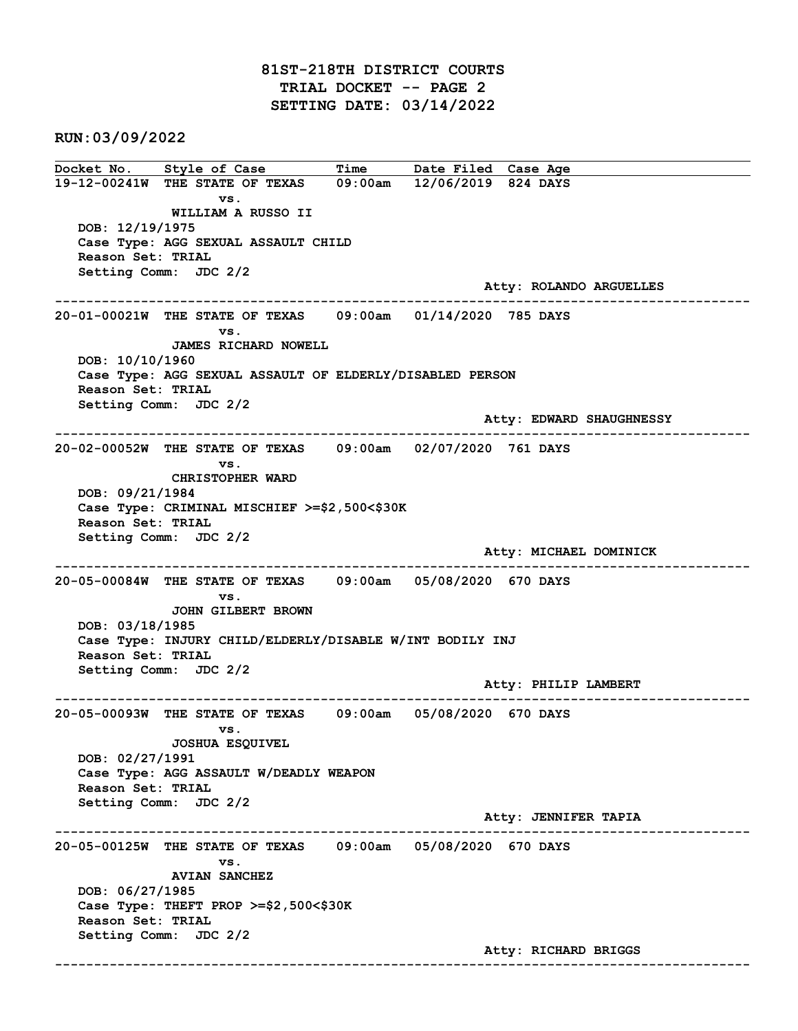# 81ST-218TH DISTRICT COURTS TRIAL DOCKET -- PAGE 2 SETTING DATE: 03/14/2022

RUN:03/09/2022

Docket No. Style of Case Time Date Filed Case Age 19-12-00241W THE STATE OF TEXAS 09:00am 12/06/2019 824 DAYS vs. WILLIAM A RUSSO II DOB: 12/19/1975 Case Type: AGG SEXUAL ASSAULT CHILD Reason Set: TRIAL Setting Comm: JDC 2/2 Atty: ROLANDO ARGUELLES ------------------------------------------------------------------------------------------------------------------------ 20-01-00021W THE STATE OF TEXAS 09:00am 01/14/2020 785 DAYS vs. JAMES RICHARD NOWELL DOB: 10/10/1960 Case Type: AGG SEXUAL ASSAULT OF ELDERLY/DISABLED PERSON Reason Set: TRIAL Setting Comm: JDC 2/2 Atty: EDWARD SHAUGHNESSY ------------------------------------------------------------------------------------------------------------------------ 20-02-00052W THE STATE OF TEXAS 09:00am 02/07/2020 761 DAYS vs. CHRISTOPHER WARD DOB: 09/21/1984 Case Type: CRIMINAL MISCHIEF >=\$2,500<\$30K Reason Set: TRIAL Setting Comm: JDC 2/2 Atty: MICHAEL DOMINICK ------------------------------------------------------------------------------------------------------------------------ 20-05-00084W THE STATE OF TEXAS 09:00am 05/08/2020 670 DAYS vs. JOHN GILBERT BROWN DOB: 03/18/1985 Case Type: INJURY CHILD/ELDERLY/DISABLE W/INT BODILY INJ Reason Set: TRIAL Setting Comm: JDC 2/2 Atty: PHILIP LAMBERT ------------------------------------------------------------------------------------------------------------------------ 20-05-00093W THE STATE OF TEXAS 09:00am 05/08/2020 670 DAYS vs. JOSHUA ESQUIVEL DOB: 02/27/1991 Case Type: AGG ASSAULT W/DEADLY WEAPON Reason Set: TRIAL Setting Comm: JDC 2/2 Atty: JENNIFER TAPIA ------------------------------------------------------------------------------------------------------------------------ 20-05-00125W THE STATE OF TEXAS 09:00am 05/08/2020 670 DAYS vs. AVIAN SANCHEZ DOB: 06/27/1985 Case Type: THEFT PROP >=\$2,500<\$30K Reason Set: TRIAL Setting Comm: JDC 2/2 Atty: RICHARD BRIGGS ------------------------------------------------------------------------------------------------------------------------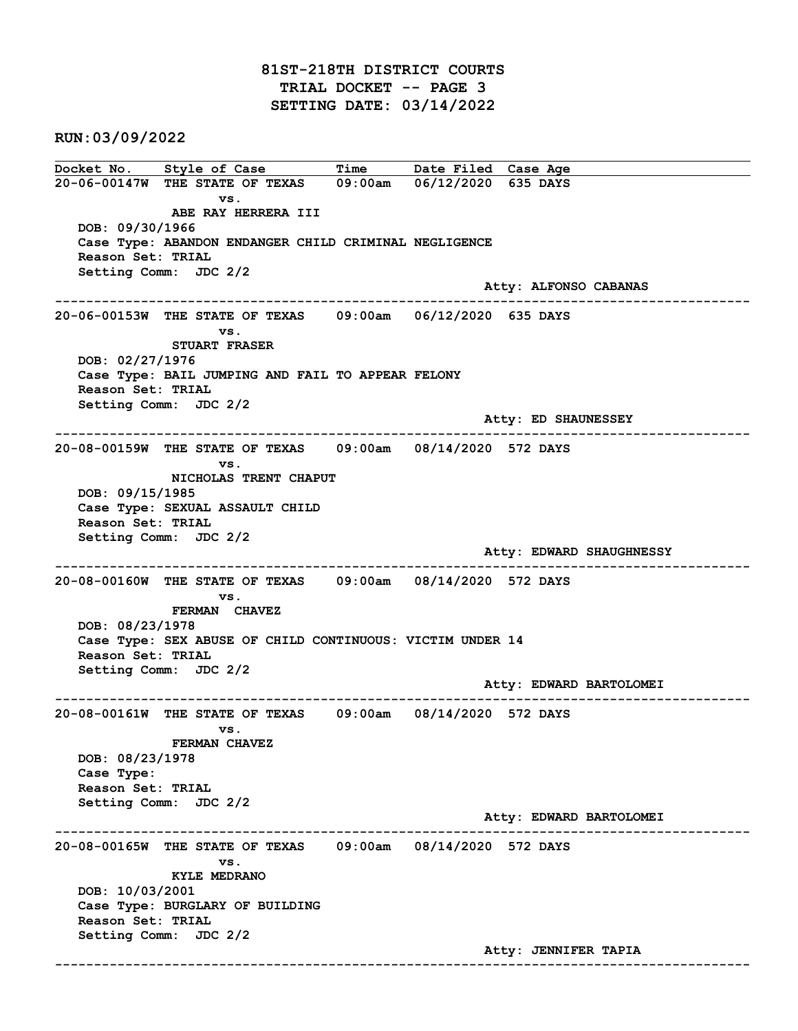RUN:03/09/2022

Docket No. Style of Case Time Date Filed Case Age 20-06-00147W THE STATE OF TEXAS 09:00am 06/12/2020 635 DAYS vs. ABE RAY HERRERA III DOB: 09/30/1966 Case Type: ABANDON ENDANGER CHILD CRIMINAL NEGLIGENCE Reason Set: TRIAL Setting Comm: JDC 2/2 Atty: ALFONSO CABANAS ------------------------------------------------------------------------------------------------------------------------ 20-06-00153W THE STATE OF TEXAS 09:00am 06/12/2020 635 DAYS vs. STUART FRASER DOB: 02/27/1976 Case Type: BAIL JUMPING AND FAIL TO APPEAR FELONY Reason Set: TRIAL Setting Comm: JDC 2/2 Atty: ED SHAUNESSEY ------------------------------------------------------------------------------------------------------------------------ 20-08-00159W THE STATE OF TEXAS 09:00am 08/14/2020 572 DAYS vs. NICHOLAS TRENT CHAPUT DOB: 09/15/1985 Case Type: SEXUAL ASSAULT CHILD Reason Set: TRIAL Setting Comm: JDC 2/2 Atty: EDWARD SHAUGHNESSY ------------------------------------------------------------------------------------------------------------------------ 20-08-00160W THE STATE OF TEXAS 09:00am 08/14/2020 572 DAYS vs. FERMAN CHAVEZ DOB: 08/23/1978 Case Type: SEX ABUSE OF CHILD CONTINUOUS: VICTIM UNDER 14 Reason Set: TRIAL Setting Comm: JDC 2/2 Atty: EDWARD BARTOLOMEI ------------------------------------------------------------------------------------------------------------------------ 20-08-00161W THE STATE OF TEXAS 09:00am 08/14/2020 572 DAYS vs. FERMAN CHAVEZ DOB: 08/23/1978 Case Type: Reason Set: TRIAL Setting Comm: JDC 2/2 Atty: EDWARD BARTOLOMEI ------------------------------------------------------------------------------------------------------------------------ 20-08-00165W THE STATE OF TEXAS 09:00am 08/14/2020 572 DAYS vs. KYLE MEDRANO DOB: 10/03/2001 Case Type: BURGLARY OF BUILDING Reason Set: TRIAL Setting Comm: JDC 2/2 Atty: JENNIFER TAPIA ------------------------------------------------------------------------------------------------------------------------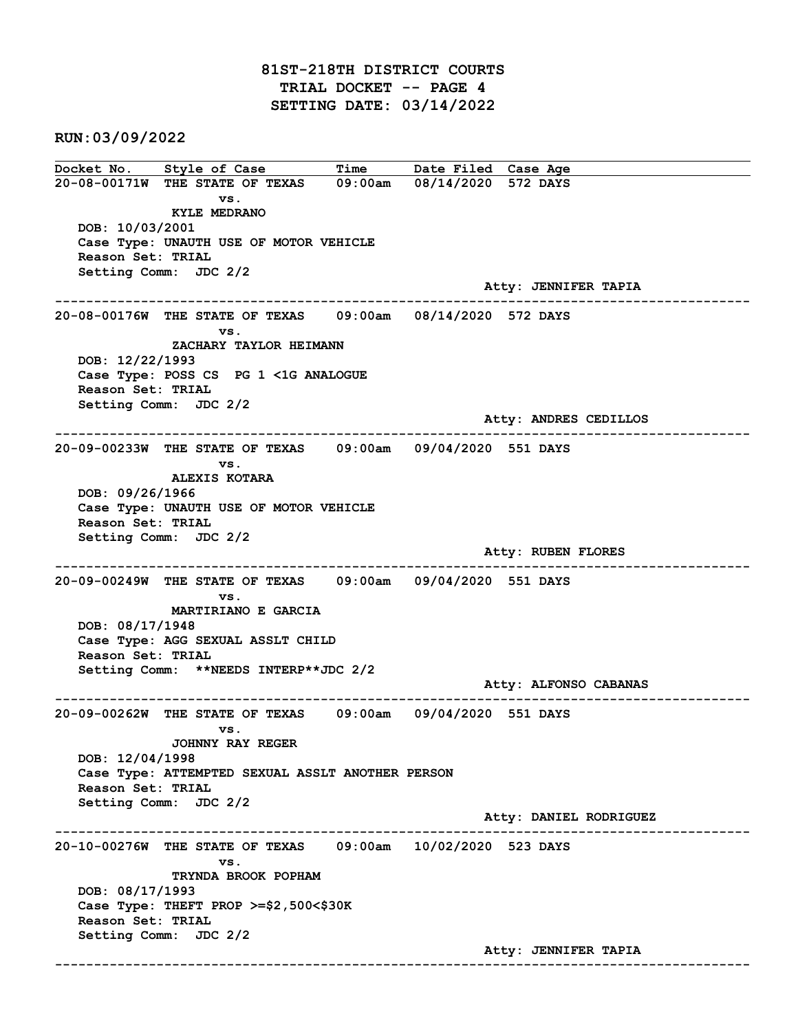# 81ST-218TH DISTRICT COURTS TRIAL DOCKET -- PAGE 4 SETTING DATE: 03/14/2022

RUN:03/09/2022

Docket No. Style of Case Time Date Filed Case Age 20-08-00171W THE STATE OF TEXAS 09:00am 08/14/2020 572 DAYS vs. KYLE MEDRANO DOB: 10/03/2001 Case Type: UNAUTH USE OF MOTOR VEHICLE Reason Set: TRIAL Setting Comm: JDC 2/2 Atty: JENNIFER TAPIA ------------------------------------------------------------------------------------------------------------------------ 20-08-00176W THE STATE OF TEXAS 09:00am 08/14/2020 572 DAYS vs. ZACHARY TAYLOR HEIMANN DOB: 12/22/1993 Case Type: POSS CS PG 1 <1G ANALOGUE Reason Set: TRIAL Setting Comm: JDC 2/2 Atty: ANDRES CEDILLOS ------------------------------------------------------------------------------------------------------------------------ 20-09-00233W THE STATE OF TEXAS 09:00am 09/04/2020 551 DAYS vs. ALEXIS KOTARA DOB: 09/26/1966 Case Type: UNAUTH USE OF MOTOR VEHICLE Reason Set: TRIAL Setting Comm: JDC 2/2 Atty: RUBEN FLORES ------------------------------------------------------------------------------------------------------------------------ 20-09-00249W THE STATE OF TEXAS 09:00am 09/04/2020 551 DAYS vs. MARTIRIANO E GARCIA DOB: 08/17/1948 Case Type: AGG SEXUAL ASSLT CHILD Reason Set: TRIAL Setting Comm: \*\*NEEDS INTERP\*\*JDC 2/2 Atty: ALFONSO CABANAS ------------------------------------------------------------------------------------------------------------------------ 20-09-00262W THE STATE OF TEXAS 09:00am 09/04/2020 551 DAYS vs. JOHNNY RAY REGER DOB: 12/04/1998 Case Type: ATTEMPTED SEXUAL ASSLT ANOTHER PERSON Reason Set: TRIAL Setting Comm: JDC 2/2 Atty: DANIEL RODRIGUEZ ------------------------------------------------------------------------------------------------------------------------ 20-10-00276W THE STATE OF TEXAS 09:00am 10/02/2020 523 DAYS vs. TRYNDA BROOK POPHAM DOB: 08/17/1993 Case Type: THEFT PROP >=\$2,500<\$30K Reason Set: TRIAL Setting Comm: JDC 2/2 Atty: JENNIFER TAPIA ------------------------------------------------------------------------------------------------------------------------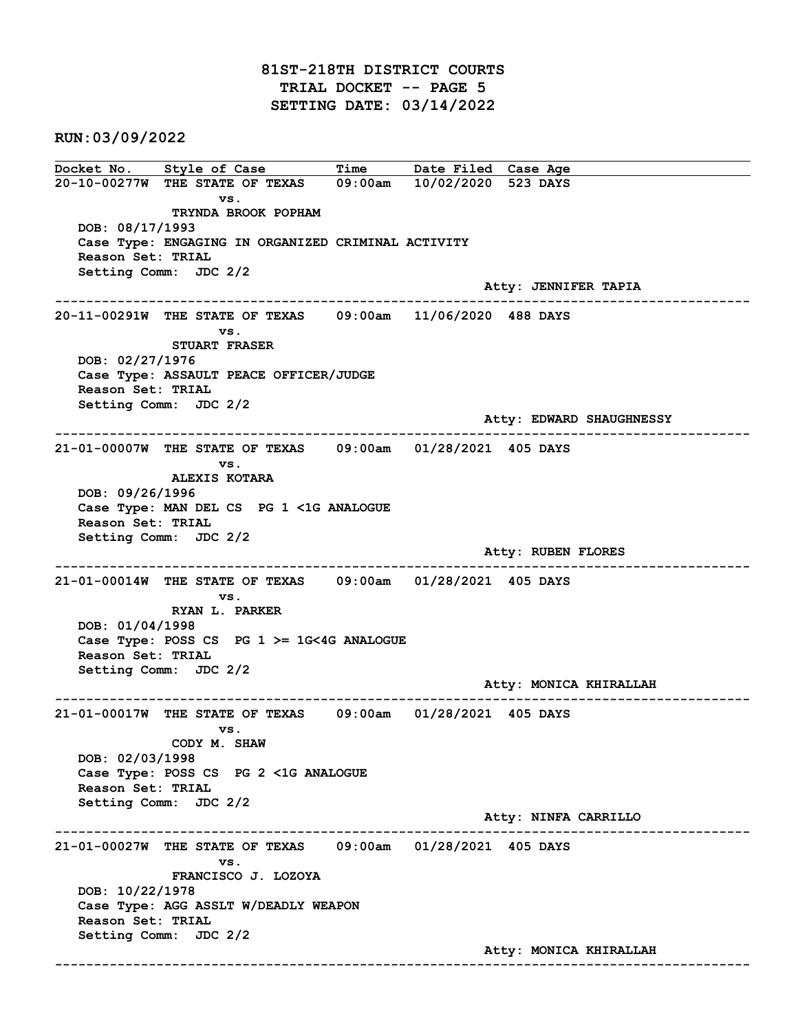# 81ST-218TH DISTRICT COURTS TRIAL DOCKET -- PAGE 5 SETTING DATE: 03/14/2022

RUN:03/09/2022

Docket No. Style of Case Time Date Filed Case Age 20-10-00277W THE STATE OF TEXAS 09:00am 10/02/2020 523 DAYS vs. TRYNDA BROOK POPHAM DOB: 08/17/1993 Case Type: ENGAGING IN ORGANIZED CRIMINAL ACTIVITY Reason Set: TRIAL Setting Comm: JDC 2/2 Atty: JENNIFER TAPIA ------------------------------------------------------------------------------------------------------------------------ 20-11-00291W THE STATE OF TEXAS 09:00am 11/06/2020 488 DAYS vs. STUART FRASER DOB: 02/27/1976 Case Type: ASSAULT PEACE OFFICER/JUDGE Reason Set: TRIAL Setting Comm: JDC 2/2 Atty: EDWARD SHAUGHNESSY ------------------------------------------------------------------------------------------------------------------------ 21-01-00007W THE STATE OF TEXAS 09:00am 01/28/2021 405 DAYS vs. ALEXIS KOTARA DOB: 09/26/1996 Case Type: MAN DEL CS PG 1 <1G ANALOGUE Reason Set: TRIAL Setting Comm: JDC 2/2 Atty: RUBEN FLORES ------------------------------------------------------------------------------------------------------------------------ 21-01-00014W THE STATE OF TEXAS 09:00am 01/28/2021 405 DAYS vs. RYAN L. PARKER DOB: 01/04/1998 Case Type: POSS CS PG 1 >= 1G<4G ANALOGUE Reason Set: TRIAL Setting Comm: JDC 2/2 Atty: MONICA KHIRALLAH ------------------------------------------------------------------------------------------------------------------------ 21-01-00017W THE STATE OF TEXAS 09:00am 01/28/2021 405 DAYS vs. CODY M. SHAW DOB: 02/03/1998 Case Type: POSS CS PG 2 <1G ANALOGUE Reason Set: TRIAL Setting Comm: JDC 2/2 Atty: NINFA CARRILLO ------------------------------------------------------------------------------------------------------------------------ 21-01-00027W THE STATE OF TEXAS 09:00am 01/28/2021 405 DAYS vs. FRANCISCO J. LOZOYA DOB: 10/22/1978 Case Type: AGG ASSLT W/DEADLY WEAPON Reason Set: TRIAL Setting Comm: JDC 2/2 Atty: MONICA KHIRALLAH ------------------------------------------------------------------------------------------------------------------------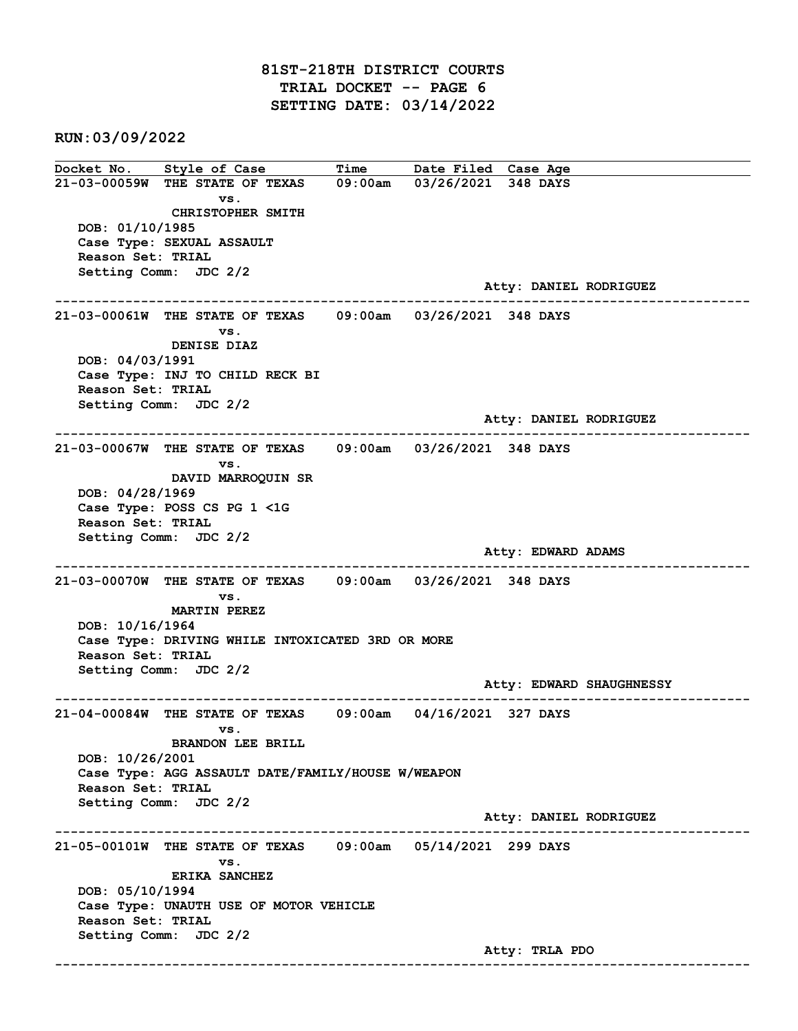# 81ST-218TH DISTRICT COURTS TRIAL DOCKET -- PAGE 6 SETTING DATE: 03/14/2022

RUN:03/09/2022

Docket No. Style of Case Time Date Filed Case Age 21-03-00059W THE STATE OF TEXAS 09:00am 03/26/2021 348 DAYS vs. CHRISTOPHER SMITH DOB: 01/10/1985 Case Type: SEXUAL ASSAULT Reason Set: TRIAL Setting Comm: JDC 2/2 Atty: DANIEL RODRIGUEZ ------------------------------------------------------------------------------------------------------------------------ 21-03-00061W THE STATE OF TEXAS 09:00am 03/26/2021 348 DAYS vs. DENISE DIAZ DOB: 04/03/1991 Case Type: INJ TO CHILD RECK BI Reason Set: TRIAL Setting Comm: JDC 2/2 Atty: DANIEL RODRIGUEZ ------------------------------------------------------------------------------------------------------------------------ 21-03-00067W THE STATE OF TEXAS 09:00am 03/26/2021 348 DAYS vs. DAVID MARROQUIN SR DOB: 04/28/1969 Case Type: POSS CS PG 1 <1G Reason Set: TRIAL Setting Comm: JDC 2/2 Atty: EDWARD ADAMS ------------------------------------------------------------------------------------------------------------------------ 21-03-00070W THE STATE OF TEXAS 09:00am 03/26/2021 348 DAYS vs. MARTIN PEREZ DOB: 10/16/1964 Case Type: DRIVING WHILE INTOXICATED 3RD OR MORE Reason Set: TRIAL Setting Comm: JDC 2/2 Atty: EDWARD SHAUGHNESSY ------------------------------------------------------------------------------------------------------------------------ 21-04-00084W THE STATE OF TEXAS 09:00am 04/16/2021 327 DAYS vs. BRANDON LEE BRILL DOB: 10/26/2001 Case Type: AGG ASSAULT DATE/FAMILY/HOUSE W/WEAPON Reason Set: TRIAL Setting Comm: JDC 2/2 Atty: DANIEL RODRIGUEZ ------------------------------------------------------------------------------------------------------------------------ 21-05-00101W THE STATE OF TEXAS 09:00am 05/14/2021 299 DAYS vs. ERIKA SANCHEZ DOB: 05/10/1994 Case Type: UNAUTH USE OF MOTOR VEHICLE Reason Set: TRIAL Setting Comm: JDC 2/2 Atty: TRLA PDO ------------------------------------------------------------------------------------------------------------------------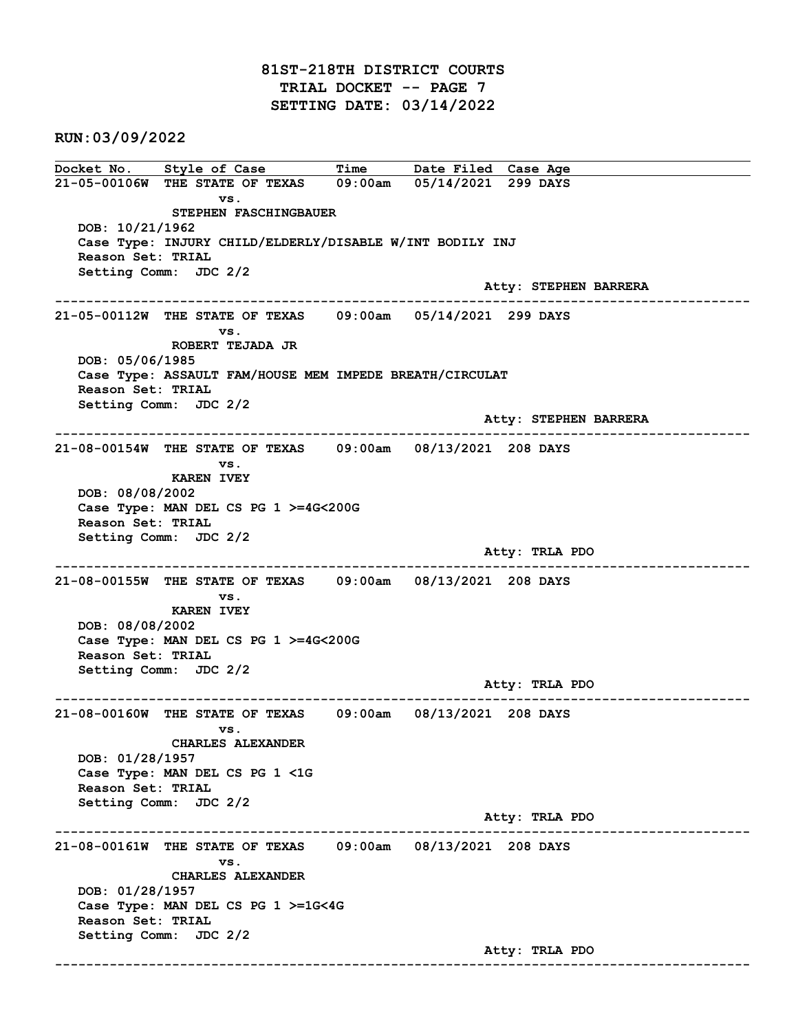# 81ST-218TH DISTRICT COURTS TRIAL DOCKET -- PAGE 7 SETTING DATE: 03/14/2022

RUN:03/09/2022

Docket No. Style of Case Time Date Filed Case Age 21-05-00106W THE STATE OF TEXAS 09:00am 05/14/2021 299 DAYS vs. STEPHEN FASCHINGBAUER DOB: 10/21/1962 Case Type: INJURY CHILD/ELDERLY/DISABLE W/INT BODILY INJ Reason Set: TRIAL Setting Comm: JDC 2/2 Atty: STEPHEN BARRERA ------------------------------------------------------------------------------------------------------------------------ 21-05-00112W THE STATE OF TEXAS 09:00am 05/14/2021 299 DAYS vs. ROBERT TEJADA JR DOB: 05/06/1985 Case Type: ASSAULT FAM/HOUSE MEM IMPEDE BREATH/CIRCULAT Reason Set: TRIAL Setting Comm: JDC 2/2 Atty: STEPHEN BARRERA ------------------------------------------------------------------------------------------------------------------------ 21-08-00154W THE STATE OF TEXAS 09:00am 08/13/2021 208 DAYS vs. KAREN IVEY DOB: 08/08/2002 Case Type: MAN DEL CS PG 1 >=4G<200G Reason Set: TRIAL Setting Comm: JDC 2/2 Atty: TRLA PDO ------------------------------------------------------------------------------------------------------------------------ 21-08-00155W THE STATE OF TEXAS 09:00am 08/13/2021 208 DAYS vs. KAREN IVEY DOB: 08/08/2002 Case Type: MAN DEL CS PG 1 >=4G<200G Reason Set: TRIAL Setting Comm: JDC 2/2 Atty: TRLA PDO ------------------------------------------------------------------------------------------------------------------------ 21-08-00160W THE STATE OF TEXAS 09:00am 08/13/2021 208 DAYS vs. CHARLES ALEXANDER DOB: 01/28/1957 Case Type: MAN DEL CS PG 1 <1G Reason Set: TRIAL Setting Comm: JDC 2/2 Atty: TRLA PDO ------------------------------------------------------------------------------------------------------------------------ 21-08-00161W THE STATE OF TEXAS 09:00am 08/13/2021 208 DAYS vs. CHARLES ALEXANDER DOB: 01/28/1957 Case Type: MAN DEL CS PG 1 >=1G<4G Reason Set: TRIAL Setting Comm: JDC 2/2 Atty: TRLA PDO ------------------------------------------------------------------------------------------------------------------------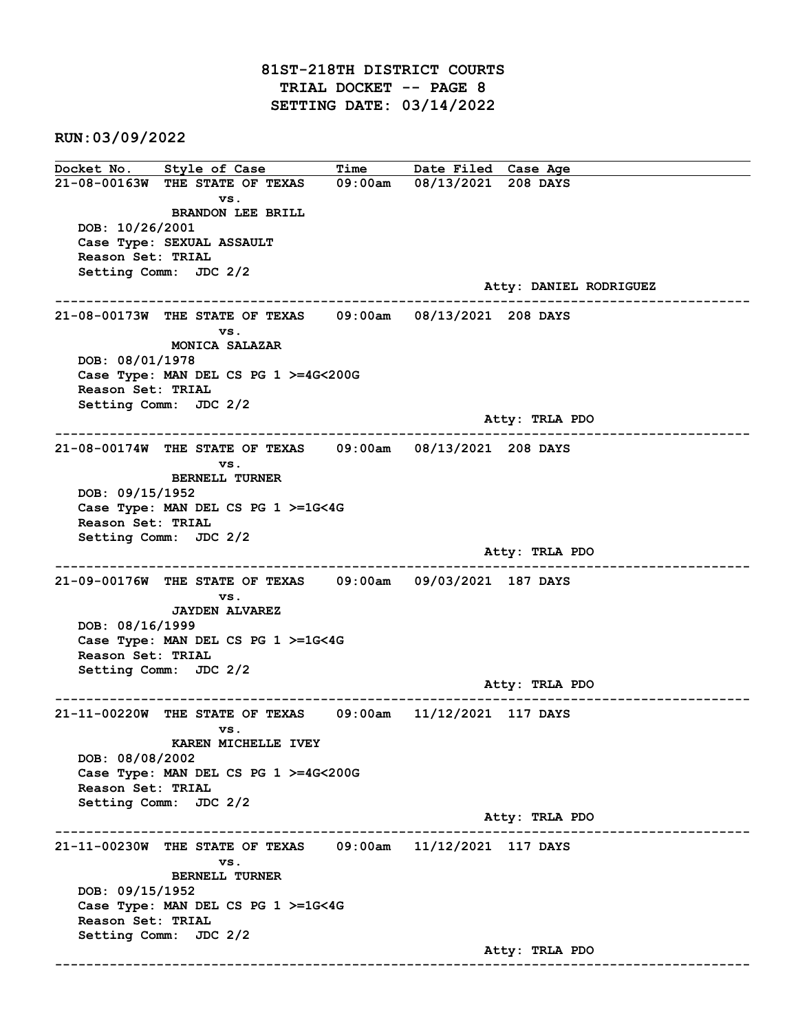# 81ST-218TH DISTRICT COURTS TRIAL DOCKET -- PAGE 8 SETTING DATE: 03/14/2022

RUN:03/09/2022

Docket No. Style of Case Time Date Filed Case Age 21-08-00163W THE STATE OF TEXAS 09:00am 08/13/2021 208 DAYS vs. BRANDON LEE BRILL DOB: 10/26/2001 Case Type: SEXUAL ASSAULT Reason Set: TRIAL Setting Comm: JDC 2/2 Atty: DANIEL RODRIGUEZ ------------------------------------------------------------------------------------------------------------------------ 21-08-00173W THE STATE OF TEXAS 09:00am 08/13/2021 208 DAYS vs. MONICA SALAZAR DOB: 08/01/1978 Case Type: MAN DEL CS PG 1 >=4G<200G Reason Set: TRIAL Setting Comm: JDC 2/2 Atty: TRLA PDO ------------------------------------------------------------------------------------------------------------------------ 21-08-00174W THE STATE OF TEXAS 09:00am 08/13/2021 208 DAYS vs. BERNELL TURNER DOB: 09/15/1952 Case Type: MAN DEL CS PG 1 >=1G<4G Reason Set: TRIAL Setting Comm: JDC 2/2 Atty: TRLA PDO ------------------------------------------------------------------------------------------------------------------------ 21-09-00176W THE STATE OF TEXAS 09:00am 09/03/2021 187 DAYS vs. JAYDEN ALVAREZ DOB: 08/16/1999 Case Type: MAN DEL CS PG 1 >=1G<4G Reason Set: TRIAL Setting Comm: JDC 2/2 Atty: TRLA PDO ------------------------------------------------------------------------------------------------------------------------ 21-11-00220W THE STATE OF TEXAS 09:00am 11/12/2021 117 DAYS vs. KAREN MICHELLE IVEY DOB: 08/08/2002 Case Type: MAN DEL CS PG 1 >=4G<200G Reason Set: TRIAL Setting Comm: JDC 2/2 Atty: TRLA PDO ------------------------------------------------------------------------------------------------------------------------ 21-11-00230W THE STATE OF TEXAS 09:00am 11/12/2021 117 DAYS vs. BERNELL TURNER DOB: 09/15/1952 Case Type: MAN DEL CS PG 1 >=1G<4G Reason Set: TRIAL Setting Comm: JDC 2/2 Atty: TRLA PDO ------------------------------------------------------------------------------------------------------------------------